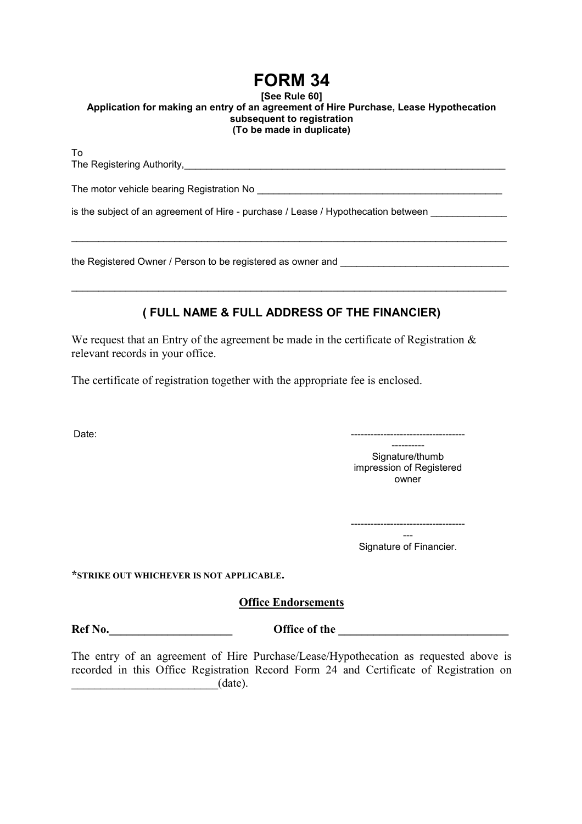## **FORM 34**

## **[See Rule 60] Application for making an entry of an agreement of Hire Purchase, Lease Hypothecation subsequent to registration (To be made in duplicate)**

To The Registering Authority,\_\_\_\_\_\_\_\_\_\_\_\_\_\_\_\_\_\_\_\_\_\_\_\_\_\_\_\_\_\_\_\_\_\_\_\_\_\_\_\_\_\_\_\_\_\_\_\_\_\_\_\_\_\_\_\_\_\_\_ The motor vehicle bearing Registration No \_\_\_\_\_\_\_\_\_\_\_\_\_\_\_\_\_\_\_\_\_\_\_\_\_\_\_\_\_\_\_\_\_\_\_\_\_\_\_\_\_\_\_\_\_

\_\_\_\_\_\_\_\_\_\_\_\_\_\_\_\_\_\_\_\_\_\_\_\_\_\_\_\_\_\_\_\_\_\_\_\_\_\_\_\_\_\_\_\_\_\_\_\_\_\_\_\_\_\_\_\_\_\_\_\_\_\_\_\_\_\_\_\_\_\_\_\_\_\_\_\_\_\_\_\_

is the subiect of an agreement of Hire - purchase / Lease / Hypothecation between

the Registered Owner / Person to be registered as owner and

## **( FULL NAME & FULL ADDRESS OF THE FINANCIER)**

\_\_\_\_\_\_\_\_\_\_\_\_\_\_\_\_\_\_\_\_\_\_\_\_\_\_\_\_\_\_\_\_\_\_\_\_\_\_\_\_\_\_\_\_\_\_\_\_\_\_\_\_\_\_\_\_\_\_\_\_\_\_\_\_\_\_\_\_\_\_\_\_\_\_\_\_\_\_\_\_

We request that an Entry of the agreement be made in the certificate of Registration  $\&$ relevant records in your office.

The certificate of registration together with the appropriate fee is enclosed.

Date: -----------------------------------

Signature/thumb impression of Registered owner

----------

----------------------------------- --- Signature of Financier.

**\*STRIKE OUT WHICHEVER IS NOT APPLICABLE.** 

**Office Endorsements**

**Ref No. Office of the** 

The entry of an agreement of Hire Purchase/Lease/Hypothecation as requested above is recorded in this Office Registration Record Form 24 and Certificate of Registration on  $(\text{date})$ .